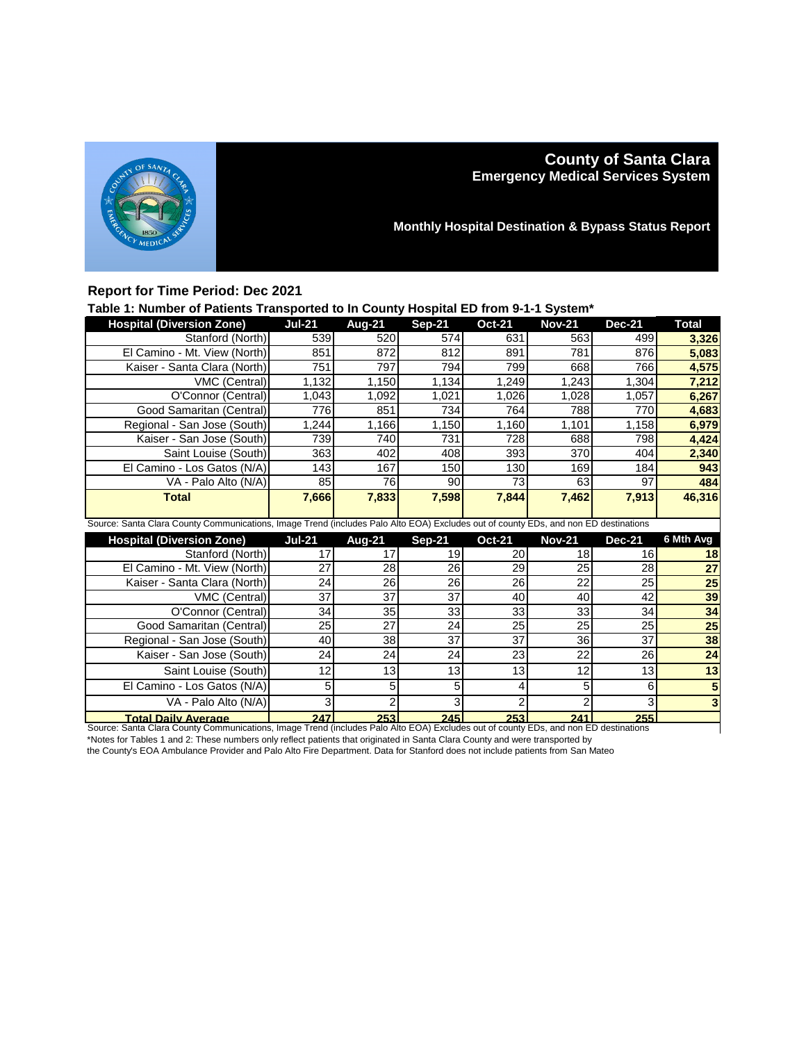

# **County of Santa Clara Emergency Medical Services System**

**Monthly Hospital Destination & Bypass Status Report**

## **Report for Time Period: Dec 2021**

### **Table 1: Number of Patients Transported to In County Hospital ED from 9-1-1 System\***

| <b>Hospital (Diversion Zone)</b> | <b>Jul-21</b> | Aug-21                                                                                                                              | <b>Sep-21</b> | <b>Oct-21</b>   | <b>Nov-21</b> | <b>Dec-21</b>   | <b>Total</b>    |  |  |  |
|----------------------------------|---------------|-------------------------------------------------------------------------------------------------------------------------------------|---------------|-----------------|---------------|-----------------|-----------------|--|--|--|
| Stanford (North)                 | 539           | 520                                                                                                                                 | 574           | 631             | 563           | 499             | 3,326           |  |  |  |
| El Camino - Mt. View (North)     | 851           | 872                                                                                                                                 | 812           | 891             | 781           | 876             | 5,083           |  |  |  |
| Kaiser - Santa Clara (North)     | 751           | 797                                                                                                                                 | 794           | 799             | 668           | 766             | 4,575           |  |  |  |
| VMC (Central)                    | 1,132         | 1,150                                                                                                                               | 1,134         | 1,249           | 1,243         | 1,304           | 7,212           |  |  |  |
| O'Connor (Central)               | 1,043         | 1,092                                                                                                                               | 1,021         | 1,026           | 1,028         | 1,057           | 6,267           |  |  |  |
| Good Samaritan (Central)         | 776           | 851                                                                                                                                 | 734           | 764             | 788           | 770             | 4,683           |  |  |  |
| Regional - San Jose (South)      | ,244          | 1,166                                                                                                                               | 1,150         | 1,160           | 1,101         | 1,158           | 6,979           |  |  |  |
| Kaiser - San Jose (South)        | 739           | 740                                                                                                                                 | 731           | 728             | 688           | 798             | 4,424           |  |  |  |
| Saint Louise (South)             | 363           | 402                                                                                                                                 | 408           | 393             | 370           | 404             | 2,340           |  |  |  |
| El Camino - Los Gatos (N/A)      | 143           | 167                                                                                                                                 | 150           | 130             | 169           | 184             | 943             |  |  |  |
| VA - Palo Alto (N/A)             | 85            | 76                                                                                                                                  | 90            | 73              | 63            | 97              | 484             |  |  |  |
| <b>Total</b>                     | 7,666         | 7,833                                                                                                                               | 7,598         | 7,844           | 7,462         | 7,913           | 46,316          |  |  |  |
|                                  |               |                                                                                                                                     |               |                 |               |                 |                 |  |  |  |
|                                  |               | Source: Santa Clara County Communications, Image Trend (includes Palo Alto EOA) Excludes out of county EDs, and non ED destinations |               |                 |               |                 |                 |  |  |  |
|                                  |               |                                                                                                                                     |               |                 |               |                 |                 |  |  |  |
| <b>Hospital (Diversion Zone)</b> | <b>Jul-21</b> | Aug-21                                                                                                                              | <b>Sep-21</b> | <b>Oct-21</b>   | <b>Nov-21</b> | <b>Dec-21</b>   | 6 Mth Avg       |  |  |  |
| Stanford (North)                 | 17            | 17                                                                                                                                  | 19            | 20              | 18            | 16              | 18              |  |  |  |
| El Camino - Mt. View (North)     | 27            | 28                                                                                                                                  | 26            | 29              | 25            | 28              | 27              |  |  |  |
| Kaiser - Santa Clara (North)     | 24            | $\overline{26}$                                                                                                                     | 26            | $\overline{26}$ | 22            | $\overline{25}$ | $\overline{25}$ |  |  |  |
| VMC (Central)                    | 37            | 37                                                                                                                                  | 37            | 40              | 40            | 42              | 39              |  |  |  |
| O'Connor (Central)               | 34            | 35                                                                                                                                  | 33            | 33              | 33            | 34              | 34              |  |  |  |
| Good Samaritan (Central)         | 25            | 27                                                                                                                                  | 24            | 25              | 25            | 25              | 25              |  |  |  |
| Regional - San Jose (South)      | 40            | 38                                                                                                                                  | 37            | 37              | 36            | 37              | 38              |  |  |  |
| Kaiser - San Jose (South)        | 24            | 24                                                                                                                                  | 24            | 23              | 22            | 26              | 24              |  |  |  |
| Saint Louise (South)             | 12            | 13                                                                                                                                  | 13            | 13              | 12            | 13              | 13              |  |  |  |
| El Camino - Los Gatos (N/A)      | 5             | 5                                                                                                                                   | 5             | 4               | 5             | 6               |                 |  |  |  |
| VA - Palo Alto (N/A)             | 3             | 2                                                                                                                                   | 3             | $\mathfrak{p}$  |               | 3               |                 |  |  |  |

**Total Daily Average 247 253 245 253 241 255** Source: Santa Clara County Communications, Image Trend (includes Palo Alto EOA) Excludes out of county EDs, and non ED destinations \*Notes for Tables 1 and 2: These numbers only reflect patients that originated in Santa Clara County and were transported by

the County's EOA Ambulance Provider and Palo Alto Fire Department. Data for Stanford does not include patients from San Mateo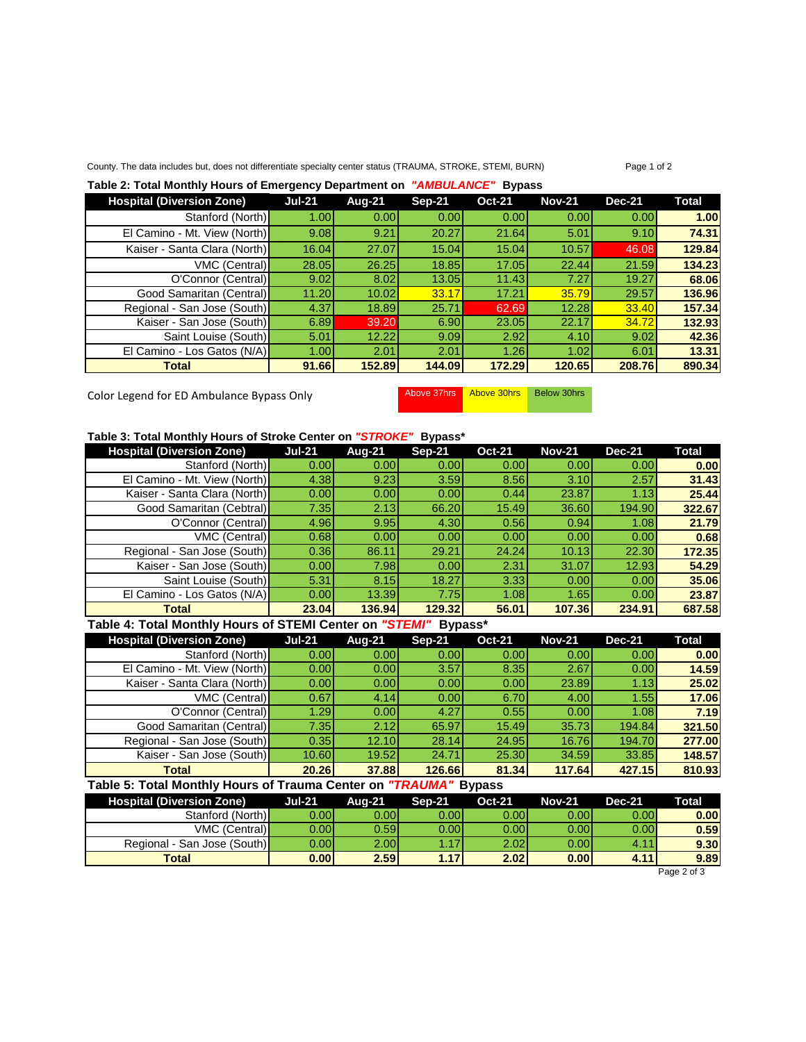### County. The data includes but, does not differentiate specialty center status (TRAUMA, STROKE, STEMI, BURN) Page 1 of 2

### **Table 2: Total Monthly Hours of Emergency Department on** *"AMBULANCE"* **Bypass**

| <b>Hospital (Diversion Zone)</b> | <b>Jul-21</b> | Aug-21 | $Sep-21$ | <b>Oct-21</b>     | <b>Nov-21</b> | <b>Dec-21</b> | <b>Total</b> |
|----------------------------------|---------------|--------|----------|-------------------|---------------|---------------|--------------|
| Stanford (North)                 | 1.00          | 0.00   | 0.001    | 0.00 <sub>l</sub> | 0.00          | 0.00          | 1.00         |
| El Camino - Mt. View (North)     | 9.08          | 9.21   | 20.27    | 21.64             | 5.01          | 9.10          | 74.31        |
| Kaiser - Santa Clara (North)     | 16.04         | 27.07  | 15.04    | 15.04             | 10.57         | 46.08         | 129.84       |
| VMC (Central)                    | 28.05         | 26.25  | 18.85    | 17.05             | 22.44         | 21.59         | 134.23       |
| O'Connor (Central)               | 9.02          | 8.02   | 13.05    | 11.43             | 7.27          | 19.27         | 68.06        |
| Good Samaritan (Central)         | 11.20         | 10.02  | 33.17    | 17.21             | 35.79         | 29.57         | 136.96       |
| Regional - San Jose (South)      | 4.37          | 18.89  | 25.71    | 62.69             | 12.28         | 33.40         | 157.34       |
| Kaiser - San Jose (South)        | 6.89          | 39.20  | 6.90     | 23.05             | 22.17         | 34.72         | 132.93       |
| Saint Louise (South)             | 5.01          | 12.22  | 9.09     | 2.92              | 4.10          | 9.02          | 42.36        |
| El Camino - Los Gatos (N/A)      | 1.00          | 2.01   | 2.01     | 1.26              | 1.02          | 6.01          | 13.31        |
| <b>Total</b>                     | 91.66         | 152.89 | 144.09   | 172.29            | 120.65        | 208.76        | 890.34       |

Color Legend for ED Ambulance Bypass Only Above 37hrs Above 30hrs Below 30hrs

### **Table 3: Total Monthly Hours of Stroke Center on** *"STROKE"* **Bypass\***

| <b>Hospital (Diversion Zone)</b> | <b>Jul-21</b>     | Aug-21 | <b>Sep-21</b> | <b>Oct-21</b>     | <b>Nov-21</b> | <b>Dec-21</b> | Total  |
|----------------------------------|-------------------|--------|---------------|-------------------|---------------|---------------|--------|
| Stanford (North)                 | 0.00              | 0.00   | 0.001         | 0.00 <sub>l</sub> | 0.00          | 0.00          | 0.00   |
| El Camino - Mt. View (North)     | 4.38              | 9.23   | 3.59          | 8.56              | 3.10          | 2.57          | 31.43  |
| Kaiser - Santa Clara (North)     | 0.00              | 0.00   | 0.00          | 0.44              | 23.87         | 1.13          | 25.44  |
| Good Samaritan (Cebtral)         | 7.35              | 2.13   | 66.20         | 15.49             | 36.60         | 194.90        | 322.67 |
| O'Connor (Central)               | 4.96              | 9.95   | 4.30          | 0.56              | 0.94          | 1.08          | 21.79  |
| <b>VMC (Central)</b>             | 0.68              | 0.00   | 0.00          | 0.00              | 0.00          | 0.00          | 0.68   |
| Regional - San Jose (South)      | 0.36              | 86.11  | 29.21         | 24.24             | 10.13         | 22.30         | 172.35 |
| Kaiser - San Jose (South)        | 0.00              | 7.98   | 0.00          | 2.31              | 31.07         | 12.93         | 54.29  |
| Saint Louise (South)             | 5.31              | 8.15   | 18.27         | 3.33              | 0.00          | 0.00          | 35.06  |
| El Camino - Los Gatos (N/A)      | 0.00 <sub>l</sub> | 13.39  | 7.75          | 1.08              | 1.65          | 0.00          | 23.87  |
| <b>Total</b>                     | 23.04             | 136.94 | 129.32        | 56.01             | 107.36        | 234.91        | 687.58 |

## **Table 4: Total Monthly Hours of STEMI Center on** *"STEMI"* **Bypass\***

| <b>Hospital (Diversion Zone)</b> | <b>Jul-21</b> | Aug-21            | <b>Sep-21</b> | <b>Oct-21</b> | <b>Nov-21</b> | <b>Dec-21</b> | Total  |
|----------------------------------|---------------|-------------------|---------------|---------------|---------------|---------------|--------|
| Stanford (North)                 | 0.00          | 0.00 <sub>l</sub> | 0.00          | 0.00          | 0.00          | 0.00          | 0.00   |
| El Camino - Mt. View (North)     | 0.00          | 0.00              | 3.57          | 8.35          | 2.67          | 0.00          | 14.59  |
| Kaiser - Santa Clara (North)     | 0.00          | 0.00              | 0.00          | 0.001         | 23.89         | 1.13          | 25.02  |
| VMC (Central)                    | 0.67          | 4.14              | 0.00          | 6.70          | 4.00          | 1.55          | 17.06  |
| O'Connor (Central)               | 1.29          | 0.00 <sub>l</sub> | 4.27          | 0.55          | 0.00          | 1.08          | 7.19   |
| Good Samaritan (Central)         | 7.35          | 2.12              | 65.97         | 15.49         | 35.73         | 194.84        | 321.50 |
| Regional - San Jose (South)      | 0.35          | 12.10 <b>1</b>    | 28.14         | 24.95         | 16.76         | 194.70        | 277.00 |
| Kaiser - San Jose (South)        | 10.60         | 19.52             | 24.71         | 25.30         | 34.59         | 33.85         | 148.57 |
| Total                            | <b>20.26</b>  | 37,88             | 126.66        | 81.34         | 117.64        | 427.15        | 810.93 |

#### **Table 5: Total Monthly Hours of Trauma Center on** *"TRAUMA"* **Bypass**

| <b>Hospital (Diversion Zone)</b> | Jul 21 | <b>Aug-21</b> | Sep-21 | <b>Oct-21</b>     | <b>Nov-21</b>     | <b>Dec-21</b> | <b>Total</b> |
|----------------------------------|--------|---------------|--------|-------------------|-------------------|---------------|--------------|
| Stanford (North)                 | 0.00   | 0.00l         | 0.00l  | 0.00 <sub>l</sub> | 0.00              | 0.00          | 0.00         |
| <b>VMC (Central)</b>             | 0.001  | 0.59l         | 0.001  | 0.001             | 0.001             | 0.00          | 0.59         |
| Regional - San Jose (South)      | 0.00l  | 2.00l         | 1 17   | 2.02              | 0.00 <sub>l</sub> | 4.11          | 9.30         |
| <b>Total</b>                     | 0.00   | 2.59          | 1.17   | 2.02 <sub>1</sub> | 0.00              | 4.11          | 9.89         |

Page 2 of 3